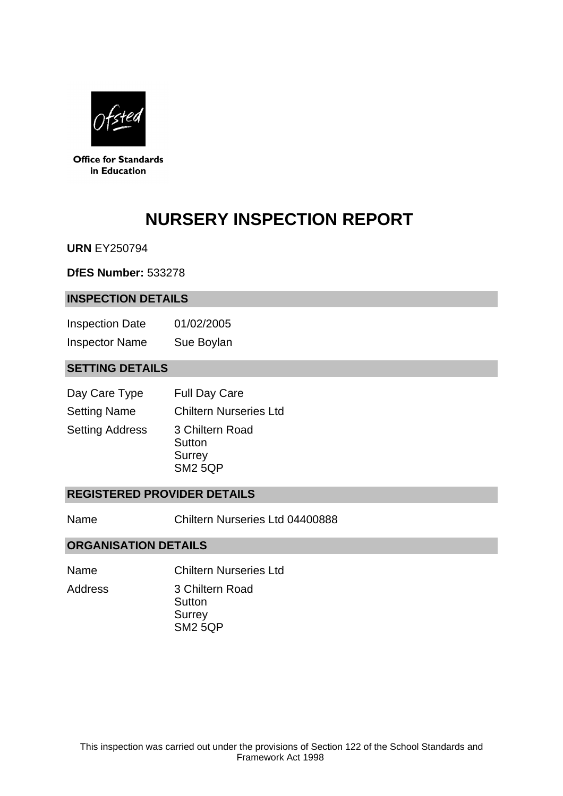

**Office for Standards** in Education

# **NURSERY INSPECTION REPORT**

**URN** EY250794

**DfES Number:** 533278

#### **INSPECTION DETAILS**

Inspection Date 01/02/2005 Inspector Name Sue Boylan

## **SETTING DETAILS**

| Day Care Type          | <b>Full Day Care</b>                                         |
|------------------------|--------------------------------------------------------------|
| <b>Setting Name</b>    | <b>Chiltern Nurseries Ltd</b>                                |
| <b>Setting Address</b> | 3 Chiltern Road<br>Sutton<br><b>Surrey</b><br><b>SM2 5QP</b> |

## **REGISTERED PROVIDER DETAILS**

Name Chiltern Nurseries Ltd 04400888

#### **ORGANISATION DETAILS**

- Name Chiltern Nurseries Ltd Address 3 Chiltern Road
	- **Sutton** Surrey SM2 5QP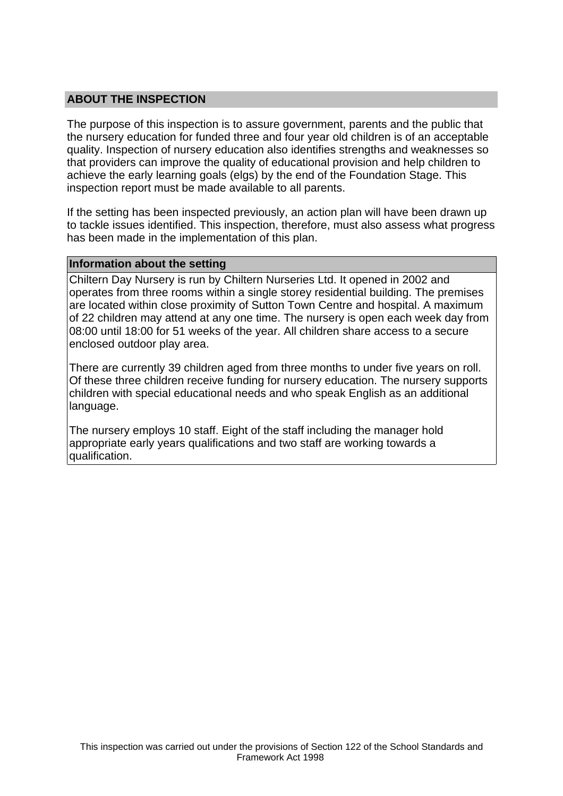## **ABOUT THE INSPECTION**

The purpose of this inspection is to assure government, parents and the public that the nursery education for funded three and four year old children is of an acceptable quality. Inspection of nursery education also identifies strengths and weaknesses so that providers can improve the quality of educational provision and help children to achieve the early learning goals (elgs) by the end of the Foundation Stage. This inspection report must be made available to all parents.

If the setting has been inspected previously, an action plan will have been drawn up to tackle issues identified. This inspection, therefore, must also assess what progress has been made in the implementation of this plan.

#### **Information about the setting**

Chiltern Day Nursery is run by Chiltern Nurseries Ltd. It opened in 2002 and operates from three rooms within a single storey residential building. The premises are located within close proximity of Sutton Town Centre and hospital. A maximum of 22 children may attend at any one time. The nursery is open each week day from 08:00 until 18:00 for 51 weeks of the year. All children share access to a secure enclosed outdoor play area.

There are currently 39 children aged from three months to under five years on roll. Of these three children receive funding for nursery education. The nursery supports children with special educational needs and who speak English as an additional language.

The nursery employs 10 staff. Eight of the staff including the manager hold appropriate early years qualifications and two staff are working towards a qualification.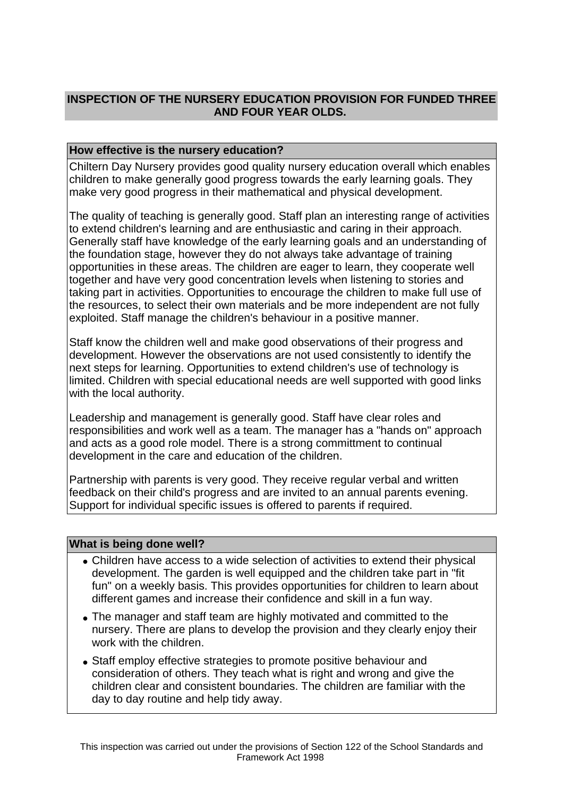# **INSPECTION OF THE NURSERY EDUCATION PROVISION FOR FUNDED THREE AND FOUR YEAR OLDS.**

## **How effective is the nursery education?**

Chiltern Day Nursery provides good quality nursery education overall which enables children to make generally good progress towards the early learning goals. They make very good progress in their mathematical and physical development.

The quality of teaching is generally good. Staff plan an interesting range of activities to extend children's learning and are enthusiastic and caring in their approach. Generally staff have knowledge of the early learning goals and an understanding of the foundation stage, however they do not always take advantage of training opportunities in these areas. The children are eager to learn, they cooperate well together and have very good concentration levels when listening to stories and taking part in activities. Opportunities to encourage the children to make full use of the resources, to select their own materials and be more independent are not fully exploited. Staff manage the children's behaviour in a positive manner.

Staff know the children well and make good observations of their progress and development. However the observations are not used consistently to identify the next steps for learning. Opportunities to extend children's use of technology is limited. Children with special educational needs are well supported with good links with the local authority.

Leadership and management is generally good. Staff have clear roles and responsibilities and work well as a team. The manager has a "hands on" approach and acts as a good role model. There is a strong committment to continual development in the care and education of the children.

Partnership with parents is very good. They receive regular verbal and written feedback on their child's progress and are invited to an annual parents evening. Support for individual specific issues is offered to parents if required.

#### **What is being done well?**

- Children have access to a wide selection of activities to extend their physical development. The garden is well equipped and the children take part in "fit fun" on a weekly basis. This provides opportunities for children to learn about different games and increase their confidence and skill in a fun way.
- The manager and staff team are highly motivated and committed to the nursery. There are plans to develop the provision and they clearly enjoy their work with the children.
- Staff employ effective strategies to promote positive behaviour and consideration of others. They teach what is right and wrong and give the children clear and consistent boundaries. The children are familiar with the day to day routine and help tidy away.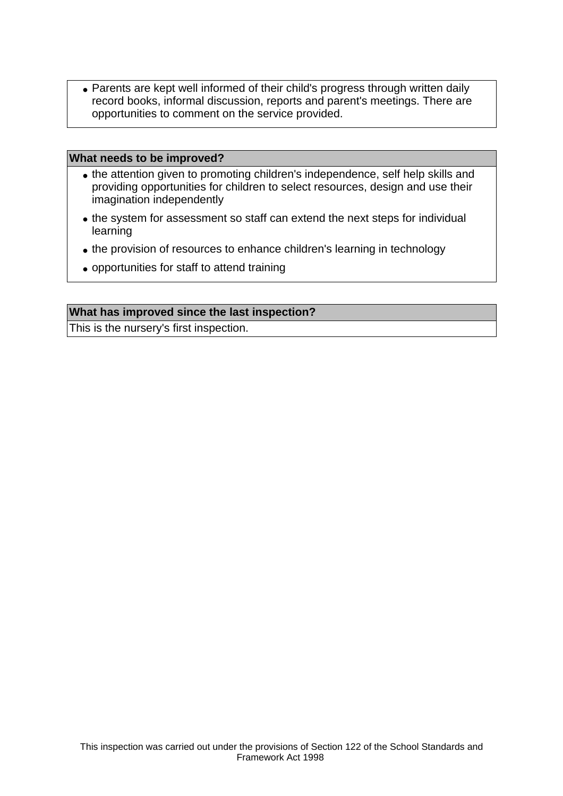• Parents are kept well informed of their child's progress through written daily record books, informal discussion, reports and parent's meetings. There are opportunities to comment on the service provided.

#### **What needs to be improved?**

- the attention given to promoting children's independence, self help skills and providing opportunities for children to select resources, design and use their imagination independently
- the system for assessment so staff can extend the next steps for individual learning
- the provision of resources to enhance children's learning in technology
- opportunities for staff to attend training

#### **What has improved since the last inspection?**

This is the nursery's first inspection.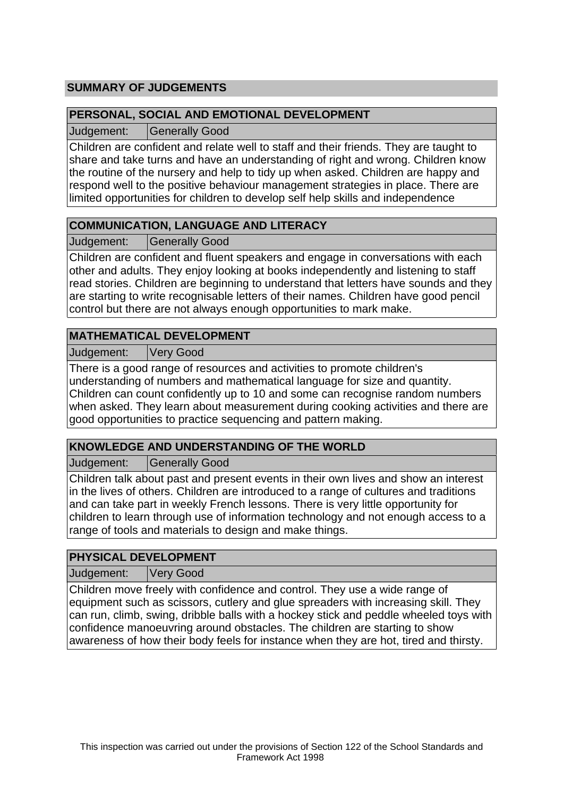# **SUMMARY OF JUDGEMENTS**

## **PERSONAL, SOCIAL AND EMOTIONAL DEVELOPMENT**

Judgement: Generally Good

Children are confident and relate well to staff and their friends. They are taught to share and take turns and have an understanding of right and wrong. Children know the routine of the nursery and help to tidy up when asked. Children are happy and respond well to the positive behaviour management strategies in place. There are limited opportunities for children to develop self help skills and independence

# **COMMUNICATION, LANGUAGE AND LITERACY**

Judgement: | Generally Good

Children are confident and fluent speakers and engage in conversations with each other and adults. They enjoy looking at books independently and listening to staff read stories. Children are beginning to understand that letters have sounds and they are starting to write recognisable letters of their names. Children have good pencil control but there are not always enough opportunities to mark make.

# **MATHEMATICAL DEVELOPMENT**

Judgement: Very Good

There is a good range of resources and activities to promote children's understanding of numbers and mathematical language for size and quantity. Children can count confidently up to 10 and some can recognise random numbers when asked. They learn about measurement during cooking activities and there are good opportunities to practice sequencing and pattern making.

# **KNOWLEDGE AND UNDERSTANDING OF THE WORLD**

Judgement: Generally Good

Children talk about past and present events in their own lives and show an interest in the lives of others. Children are introduced to a range of cultures and traditions and can take part in weekly French lessons. There is very little opportunity for children to learn through use of information technology and not enough access to a range of tools and materials to design and make things.

## **PHYSICAL DEVELOPMENT**

Judgement: Very Good

Children move freely with confidence and control. They use a wide range of equipment such as scissors, cutlery and glue spreaders with increasing skill. They can run, climb, swing, dribble balls with a hockey stick and peddle wheeled toys with confidence manoeuvring around obstacles. The children are starting to show awareness of how their body feels for instance when they are hot, tired and thirsty.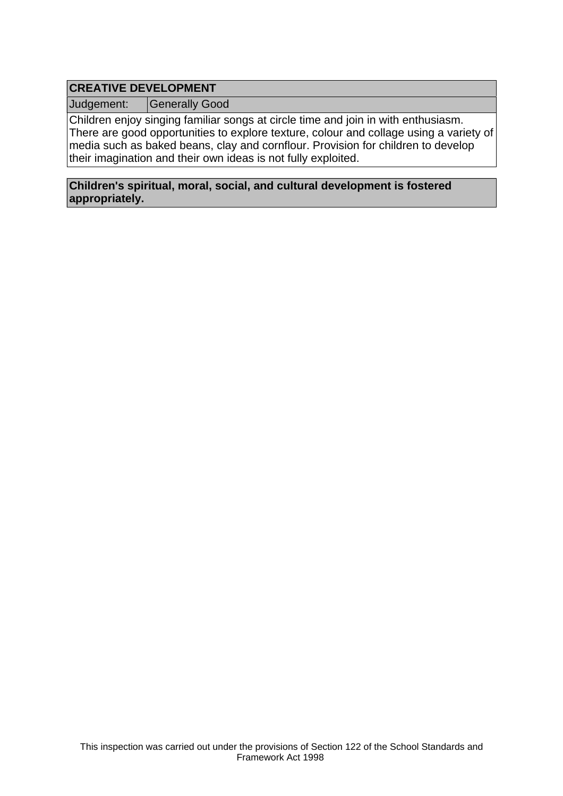# **CREATIVE DEVELOPMENT**

Judgement: Generally Good

Children enjoy singing familiar songs at circle time and join in with enthusiasm. There are good opportunities to explore texture, colour and collage using a variety of media such as baked beans, clay and cornflour. Provision for children to develop their imagination and their own ideas is not fully exploited.

#### **Children's spiritual, moral, social, and cultural development is fostered appropriately.**